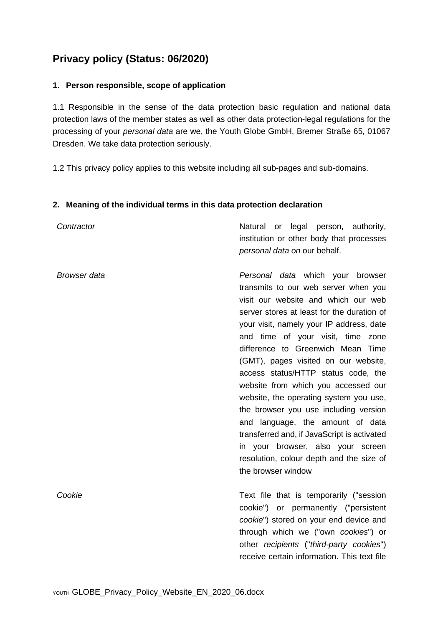# **Privacy policy (Status: 06/2020)**

## **1. Person responsible, scope of application**

1.1 Responsible in the sense of the data protection basic regulation and national data protection laws of the member states as well as other data protection-legal regulations for the processing of your *personal data* are we, the Youth Globe GmbH, Bremer Straße 65, 01067 Dresden. We take data protection seriously.

1.2 This privacy policy applies to this website including all sub-pages and sub-domains.

### **2. Meaning of the individual terms in this data protection declaration**

| Contractor          | Natural or legal person, authority,<br>institution or other body that processes<br>personal data on our behalf.                                                                                                                                                                                                                                                                                                                                                                                                                                                                                                                                                                        |
|---------------------|----------------------------------------------------------------------------------------------------------------------------------------------------------------------------------------------------------------------------------------------------------------------------------------------------------------------------------------------------------------------------------------------------------------------------------------------------------------------------------------------------------------------------------------------------------------------------------------------------------------------------------------------------------------------------------------|
| <b>Browser</b> data | Personal data which your browser<br>transmits to our web server when you<br>visit our website and which our web<br>server stores at least for the duration of<br>your visit, namely your IP address, date<br>and time of your visit, time zone<br>difference to Greenwich Mean Time<br>(GMT), pages visited on our website,<br>access status/HTTP status code, the<br>website from which you accessed our<br>website, the operating system you use,<br>the browser you use including version<br>and language, the amount of data<br>transferred and, if JavaScript is activated<br>in your browser, also your screen<br>resolution, colour depth and the size of<br>the browser window |
| Cookie              | Text file that is temporarily ("session<br>cookie") or permanently ("persistent<br>cookie") stored on your end device and<br>through which we ("own cookies") or<br>other recipients ("third-party cookies")<br>receive certain information. This text file                                                                                                                                                                                                                                                                                                                                                                                                                            |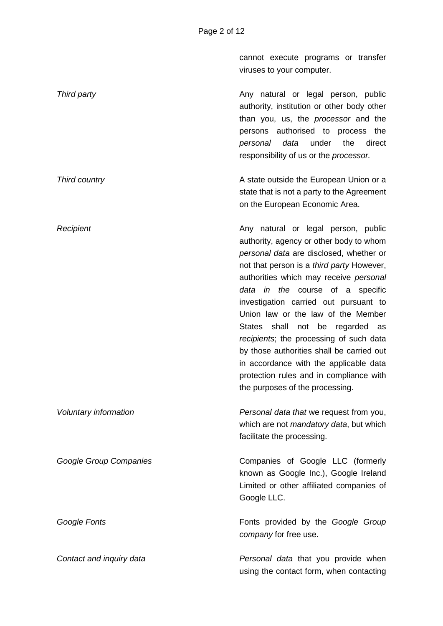cannot execute programs or transfer viruses to your computer.

**Third party Any natural or legal person, public Any natural or legal person, public** authority, institution or other body other than you, us, the *processor* and the persons authorised to process the *personal data* under the direct responsibility of us or the *processor. Third country* **A** state outside the European Union or a

state that is not a party to the Agreement on the European Economic Area.

**Recipient Any natural or legal person, public Recipient** authority, agency or other body to whom *personal data* are disclosed, whether or not that person is a *third party* However, authorities which may receive *personal data in the* course of a specific investigation carried out pursuant to Union law or the law of the Member States shall not be regarded as *recipients*; the processing of such data by those authorities shall be carried out in accordance with the applicable data protection rules and in compliance with the purposes of the processing.

*Voluntary information Personal data that* we request from you, which are not *mandatory data*, but which facilitate the processing.

*Google Group Companies* Companies of Google LLC (formerly known as Google Inc.), Google Ireland Limited or other affiliated companies of Google LLC.

**Google Fonts Fonts Fonts** provided by the **Google Group** *company* for free use.

*Contact and inquiry data Personal data* that you provide when using the contact form, when contacting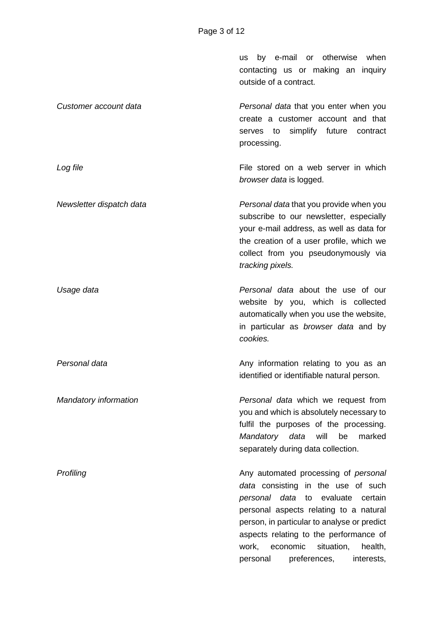us by e-mail or otherwise when contacting us or making an inquiry outside of a contract. *Customer account data Personal data* that you enter when you create a customer account and that serves to simplify future contract processing. **Log file File stored on a web server in which** *browser data* is logged. *Newsletter dispatch data Personal data* that you provide when you subscribe to our newsletter, especially your e-mail address, as well as data for the creation of a user profile, which we collect from you pseudonymously via *tracking pixels. Usage data Personal data* about the use of our website by you, which is collected automatically when you use the website, in particular as *browser data* and by *cookies. Personal data* **Any information relating to you as an** Any information relating to you as an identified or identifiable natural person. *Mandatory information Personal data* which we request from you and which is absolutely necessary to fulfil the purposes of the processing. *Mandatory data* will be marked separately during data collection. **Profiling Any automated processing of** *personal* **Any automated processing of** *personal data* consisting in the use of such *personal data* to evaluate certain personal aspects relating to a natural person, in particular to analyse or predict aspects relating to the performance of work, economic situation, health, personal preferences, interests,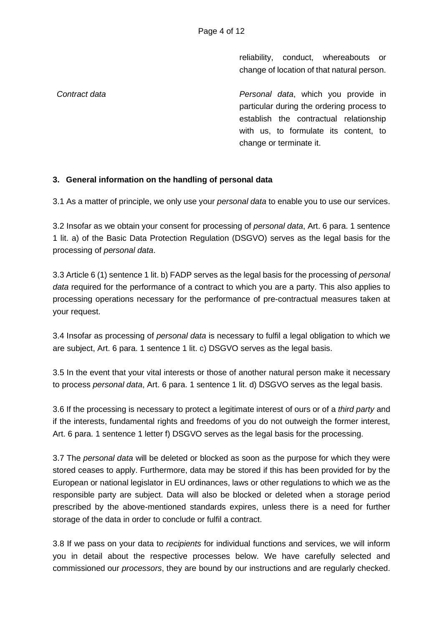reliability, conduct, whereabouts or change of location of that natural person.

*Contract data Personal data*, which you provide in particular during the ordering process to establish the contractual relationship with us, to formulate its content, to change or terminate it.

## **3. General information on the handling of personal data**

3.1 As a matter of principle, we only use your *personal data* to enable you to use our services.

3.2 Insofar as we obtain your consent for processing of *personal data*, Art. 6 para. 1 sentence 1 lit. a) of the Basic Data Protection Regulation (DSGVO) serves as the legal basis for the processing of *personal data*.

3.3 Article 6 (1) sentence 1 lit. b) FADP serves as the legal basis for the processing of *personal data* required for the performance of a contract to which you are a party. This also applies to processing operations necessary for the performance of pre-contractual measures taken at your request.

3.4 Insofar as processing of *personal data* is necessary to fulfil a legal obligation to which we are subject, Art. 6 para. 1 sentence 1 lit. c) DSGVO serves as the legal basis.

3.5 In the event that your vital interests or those of another natural person make it necessary to process *personal data*, Art. 6 para. 1 sentence 1 lit. d) DSGVO serves as the legal basis.

3.6 If the processing is necessary to protect a legitimate interest of ours or of a *third party* and if the interests, fundamental rights and freedoms of you do not outweigh the former interest, Art. 6 para. 1 sentence 1 letter f) DSGVO serves as the legal basis for the processing.

3.7 The *personal data* will be deleted or blocked as soon as the purpose for which they were stored ceases to apply. Furthermore, data may be stored if this has been provided for by the European or national legislator in EU ordinances, laws or other regulations to which we as the responsible party are subject. Data will also be blocked or deleted when a storage period prescribed by the above-mentioned standards expires, unless there is a need for further storage of the data in order to conclude or fulfil a contract.

3.8 If we pass on your data to *recipients* for individual functions and services, we will inform you in detail about the respective processes below. We have carefully selected and commissioned our *processors*, they are bound by our instructions and are regularly checked.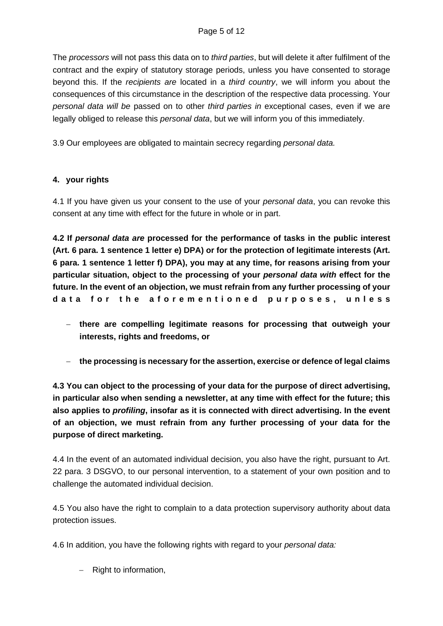The *processors* will not pass this data on to *third parties*, but will delete it after fulfilment of the contract and the expiry of statutory storage periods, unless you have consented to storage beyond this. If the *recipients are* located in a *third country*, we will inform you about the consequences of this circumstance in the description of the respective data processing. Your *personal data will be* passed on to other *third parties in* exceptional cases, even if we are legally obliged to release this *personal data*, but we will inform you of this immediately.

3.9 Our employees are obligated to maintain secrecy regarding *personal data.*

## **4. your rights**

4.1 If you have given us your consent to the use of your *personal data*, you can revoke this consent at any time with effect for the future in whole or in part.

**4.2 If** *personal data are* **processed for the performance of tasks in the public interest (Art. 6 para. 1 sentence 1 letter e) DPA) or for the protection of legitimate interests (Art. 6 para. 1 sentence 1 letter f) DPA), you may at any time, for reasons arising from your particular situation, object to the processing of your** *personal data with* **effect for the future. In the event of an objection, we must refrain from any further processing of your data for the aforementioned purposes, unless**

- − **there are compelling legitimate reasons for processing that outweigh your interests, rights and freedoms, or**
- − **the processing is necessary for the assertion, exercise or defence of legal claims**

**4.3 You can object to the processing of your data for the purpose of direct advertising, in particular also when sending a newsletter, at any time with effect for the future; this also applies to** *profiling***, insofar as it is connected with direct advertising. In the event of an objection, we must refrain from any further processing of your data for the purpose of direct marketing.**

4.4 In the event of an automated individual decision, you also have the right, pursuant to Art. 22 para. 3 DSGVO, to our personal intervention, to a statement of your own position and to challenge the automated individual decision.

4.5 You also have the right to complain to a data protection supervisory authority about data protection issues.

4.6 In addition, you have the following rights with regard to your *personal data:*

− Right to information,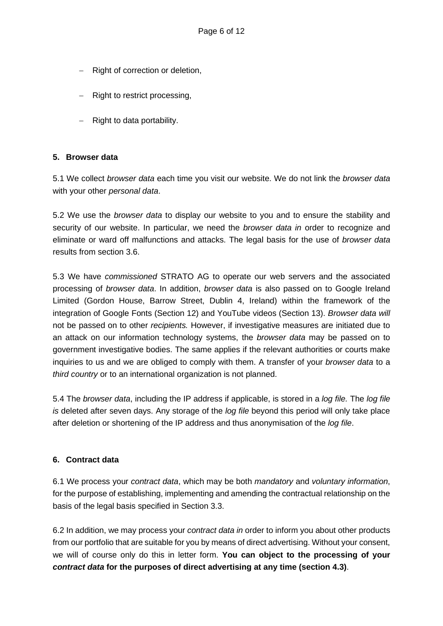- − Right of correction or deletion,
- − Right to restrict processing,
- − Right to data portability.

## **5. Browser data**

5.1 We collect *browser data* each time you visit our website. We do not link the *browser data* with your other *personal data*.

5.2 We use the *browser data* to display our website to you and to ensure the stability and security of our website. In particular, we need the *browser data in* order to recognize and eliminate or ward off malfunctions and attacks. The legal basis for the use of *browser data* results from section 3.6.

5.3 We have *commissioned* STRATO AG to operate our web servers and the associated processing of *browser data*. In addition, *browser data* is also passed on to Google Ireland Limited (Gordon House, Barrow Street, Dublin 4, Ireland) within the framework of the integration of Google Fonts (Section 12) and YouTube videos (Section 13). *Browser data will* not be passed on to other *recipients.* However, if investigative measures are initiated due to an attack on our information technology systems, the *browser data* may be passed on to government investigative bodies. The same applies if the relevant authorities or courts make inquiries to us and we are obliged to comply with them. A transfer of your *browser data* to a *third country* or to an international organization is not planned.

5.4 The *browser data*, including the IP address if applicable, is stored in a *log file.* The *log file is* deleted after seven days. Any storage of the *log file* beyond this period will only take place after deletion or shortening of the IP address and thus anonymisation of the *log file*.

## **6. Contract data**

6.1 We process your *contract data*, which may be both *mandatory* and *voluntary information*, for the purpose of establishing, implementing and amending the contractual relationship on the basis of the legal basis specified in Section 3.3.

6.2 In addition, we may process your *contract data in* order to inform you about other products from our portfolio that are suitable for you by means of direct advertising. Without your consent, we will of course only do this in letter form. **You can object to the processing of your**  *contract data* **for the purposes of direct advertising at any time (section 4.3)**.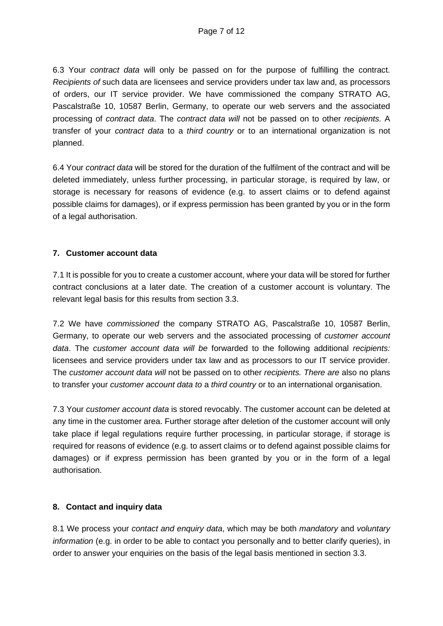6.3 Your *contract data* will only be passed on for the purpose of fulfilling the contract. *Recipients of* such data are licensees and service providers under tax law and, as processors of orders, our IT service provider. We have commissioned the company STRATO AG, Pascalstraße 10, 10587 Berlin, Germany, to operate our web servers and the associated processing of *contract data*. The *contract data will* not be passed on to other *recipients.* A transfer of your *contract data* to a *third country* or to an international organization is not planned.

6.4 Your *contract data* will be stored for the duration of the fulfilment of the contract and will be deleted immediately, unless further processing, in particular storage, is required by law, or storage is necessary for reasons of evidence (e.g. to assert claims or to defend against possible claims for damages), or if express permission has been granted by you or in the form of a legal authorisation.

## **7. Customer account data**

7.1 It is possible for you to create a customer account, where your data will be stored for further contract conclusions at a later date. The creation of a customer account is voluntary. The relevant legal basis for this results from section 3.3.

7.2 We have *commissioned* the company STRATO AG, Pascalstraße 10, 10587 Berlin, Germany, to operate our web servers and the associated processing of *customer account data*. The *customer account data will be* forwarded to the following additional *recipients:*  licensees and service providers under tax law and as processors to our IT service provider. The *customer account data will* not be passed on to other *recipients. There are* also no plans to transfer your *customer account data to* a *third country* or to an international organisation.

7.3 Your *customer account data* is stored revocably. The customer account can be deleted at any time in the customer area. Further storage after deletion of the customer account will only take place if legal regulations require further processing, in particular storage, if storage is required for reasons of evidence (e.g. to assert claims or to defend against possible claims for damages) or if express permission has been granted by you or in the form of a legal authorisation.

## **8. Contact and inquiry data**

8.1 We process your *contact and enquiry data*, which may be both *mandatory* and *voluntary information* (e.g. in order to be able to contact you personally and to better clarify queries), in order to answer your enquiries on the basis of the legal basis mentioned in section 3.3.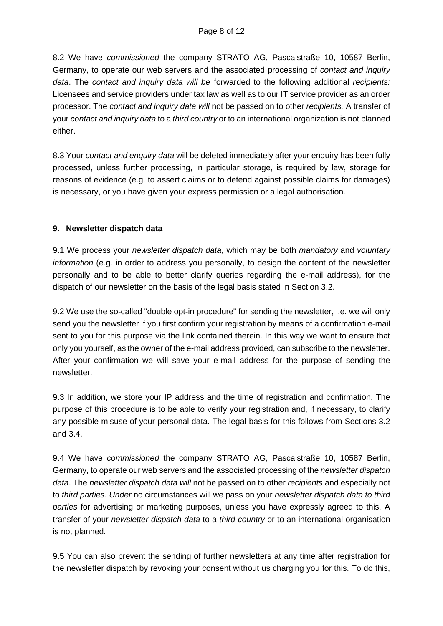8.2 We have *commissioned* the company STRATO AG, Pascalstraße 10, 10587 Berlin, Germany, to operate our web servers and the associated processing of *contact and inquiry data*. The *contact and inquiry data will be* forwarded to the following additional *recipients:*  Licensees and service providers under tax law as well as to our IT service provider as an order processor. The *contact and inquiry data will* not be passed on to other *recipients.* A transfer of your *contact and inquiry data* to a *third country* or to an international organization is not planned either.

8.3 Your *contact and enquiry data* will be deleted immediately after your enquiry has been fully processed, unless further processing, in particular storage, is required by law, storage for reasons of evidence (e.g. to assert claims or to defend against possible claims for damages) is necessary, or you have given your express permission or a legal authorisation.

## **9. Newsletter dispatch data**

9.1 We process your *newsletter dispatch data*, which may be both *mandatory* and *voluntary information* (e.g. in order to address you personally, to design the content of the newsletter personally and to be able to better clarify queries regarding the e-mail address), for the dispatch of our newsletter on the basis of the legal basis stated in Section 3.2.

9.2 We use the so-called "double opt-in procedure" for sending the newsletter, i.e. we will only send you the newsletter if you first confirm your registration by means of a confirmation e-mail sent to you for this purpose via the link contained therein. In this way we want to ensure that only you yourself, as the owner of the e-mail address provided, can subscribe to the newsletter. After your confirmation we will save your e-mail address for the purpose of sending the newsletter.

9.3 In addition, we store your IP address and the time of registration and confirmation. The purpose of this procedure is to be able to verify your registration and, if necessary, to clarify any possible misuse of your personal data. The legal basis for this follows from Sections 3.2 and 3.4.

9.4 We have *commissioned* the company STRATO AG, Pascalstraße 10, 10587 Berlin, Germany, to operate our web servers and the associated processing of the *newsletter dispatch data*. The *newsletter dispatch data will* not be passed on to other *recipients* and especially not to *third parties. Under* no circumstances will we pass on your *newsletter dispatch data to third parties* for advertising or marketing purposes, unless you have expressly agreed to this. A transfer of your *newsletter dispatch data* to a *third country* or to an international organisation is not planned.

9.5 You can also prevent the sending of further newsletters at any time after registration for the newsletter dispatch by revoking your consent without us charging you for this. To do this,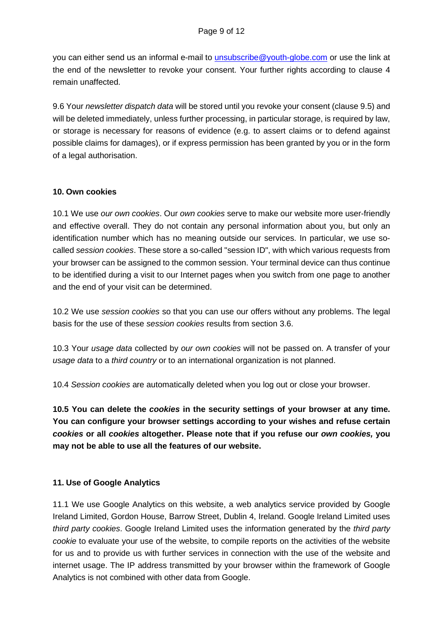you can either send us an informal e-mail to [unsubscribe@youth-globe.com](mailto:unsubscribe@youth-globe.com) or use the link at the end of the newsletter to revoke your consent. Your further rights according to clause 4 remain unaffected.

9.6 Your *newsletter dispatch data* will be stored until you revoke your consent (clause 9.5) and will be deleted immediately, unless further processing, in particular storage, is required by law, or storage is necessary for reasons of evidence (e.g. to assert claims or to defend against possible claims for damages), or if express permission has been granted by you or in the form of a legal authorisation.

### **10. Own cookies**

10.1 We use *our own cookies*. Our *own cookies* serve to make our website more user-friendly and effective overall. They do not contain any personal information about you, but only an identification number which has no meaning outside our services. In particular, we use socalled *session cookies*. These store a so-called "session ID", with which various requests from your browser can be assigned to the common session. Your terminal device can thus continue to be identified during a visit to our Internet pages when you switch from one page to another and the end of your visit can be determined.

10.2 We use *session cookies* so that you can use our offers without any problems. The legal basis for the use of these *session cookies* results from section 3.6.

10.3 Your *usage data* collected by *our own cookies* will not be passed on. A transfer of your *usage data* to a *third country* or to an international organization is not planned.

10.4 *Session cookies* are automatically deleted when you log out or close your browser.

**10.5 You can delete the** *cookies* **in the security settings of your browser at any time. You can configure your browser settings according to your wishes and refuse certain**  *cookies* **or all** *cookies* **altogether. Please note that if you refuse our** *own cookies,* **you may not be able to use all the features of our website.**

## **11. Use of Google Analytics**

11.1 We use Google Analytics on this website, a web analytics service provided by Google Ireland Limited, Gordon House, Barrow Street, Dublin 4, Ireland. Google Ireland Limited uses *third party cookies*. Google Ireland Limited uses the information generated by the *third party cookie* to evaluate your use of the website, to compile reports on the activities of the website for us and to provide us with further services in connection with the use of the website and internet usage. The IP address transmitted by your browser within the framework of Google Analytics is not combined with other data from Google.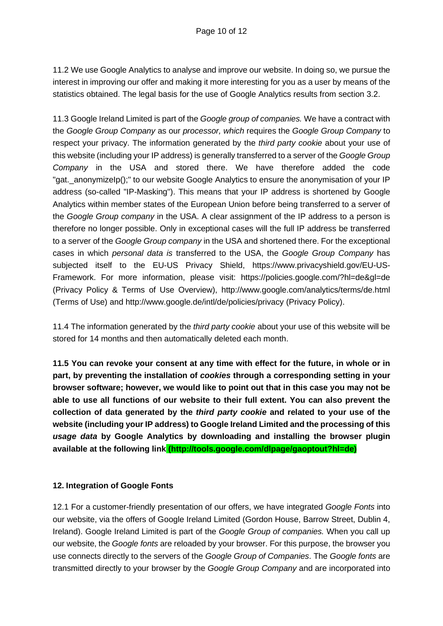11.2 We use Google Analytics to analyse and improve our website. In doing so, we pursue the interest in improving our offer and making it more interesting for you as a user by means of the statistics obtained. The legal basis for the use of Google Analytics results from section 3.2.

11.3 Google Ireland Limited is part of the *Google group of companies.* We have a contract with the *Google Group Company* as our *processor, which* requires the *Google Group Company* to respect your privacy. The information generated by the *third party cookie* about your use of this website (including your IP address) is generally transferred to a server of the *Google Group Company* in the USA and stored there. We have therefore added the code "gat. anonymizelp();" to our website Google Analytics to ensure the anonymisation of your IP address (so-called "IP-Masking"). This means that your IP address is shortened by Google Analytics within member states of the European Union before being transferred to a server of the *Google Group company* in the USA. A clear assignment of the IP address to a person is therefore no longer possible. Only in exceptional cases will the full IP address be transferred to a server of the *Google Group company* in the USA and shortened there. For the exceptional cases in which *personal data is* transferred to the USA, the *Google Group Company* has subjected itself to the EU-US Privacy Shield, https://www.privacyshield.gov/EU-US-Framework. For more information, please visit: https://policies.google.com/?hl=de&gl=de (Privacy Policy & Terms of Use Overview), http://www.google.com/analytics/terms/de.html (Terms of Use) and http://www.google.de/intl/de/policies/privacy (Privacy Policy).

11.4 The information generated by the *third party cookie* about your use of this website will be stored for 14 months and then automatically deleted each month.

**11.5 You can revoke your consent at any time with effect for the future, in whole or in part, by preventing the installation of** *cookies* **through a corresponding setting in your browser software; however, we would like to point out that in this case you may not be able to use all functions of our website to their full extent. You can also prevent the collection of data generated by the** *third party cookie* **and related to your use of the website (including your IP address) to Google Ireland Limited and the processing of this**  *usage data* **by Google Analytics by downloading and installing the browser plugin available at the following link (http://tools.google.com/dlpage/gaoptout?hl=de)** 

## **12. Integration of Google Fonts**

12.1 For a customer-friendly presentation of our offers, we have integrated *Google Fonts* into our website, via the offers of Google Ireland Limited (Gordon House, Barrow Street, Dublin 4, Ireland). Google Ireland Limited is part of the *Google Group of companies.* When you call up our website, the *Google fonts* are reloaded by your browser. For this purpose, the browser you use connects directly to the servers of the *Google Group of Companies*. The *Google fonts* are transmitted directly to your browser by the *Google Group Company* and are incorporated into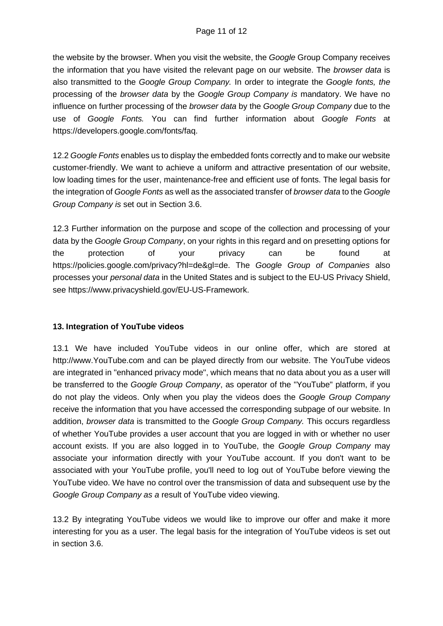the website by the browser. When you visit the website, the *Google* Group Company receives the information that you have visited the relevant page on our website. The *browser data* is also transmitted to the *Google Group Company.* In order to integrate the *Google fonts, the* processing of the *browser data* by the *Google Group Company is* mandatory. We have no influence on further processing of the *browser data* by the *Google Group Company* due to the use of *Google Fonts.* You can find further information about *Google Fonts* at https://developers.google.com/fonts/faq.

12.2 *Google Fonts* enables us to display the embedded fonts correctly and to make our website customer-friendly. We want to achieve a uniform and attractive presentation of our website, low loading times for the user, maintenance-free and efficient use of fonts. The legal basis for the integration of *Google Fonts* as well as the associated transfer of *browser data* to the *Google Group Company is* set out in Section 3.6.

12.3 Further information on the purpose and scope of the collection and processing of your data by the *Google Group Company*, on your rights in this regard and on presetting options for the protection of your privacy can be found at https://policies.google.com/privacy?hl=de&gl=de. The *Google Group of Companies* also processes your *personal data* in the United States and is subject to the EU-US Privacy Shield, see https://www.privacyshield.gov/EU-US-Framework.

## **13. Integration of YouTube videos**

13.1 We have included YouTube videos in our online offer, which are stored at http://www.YouTube.com and can be played directly from our website. The YouTube videos are integrated in "enhanced privacy mode", which means that no data about you as a user will be transferred to the *Google Group Company*, as operator of the "YouTube" platform, if you do not play the videos. Only when you play the videos does the *Google Group Company* receive the information that you have accessed the corresponding subpage of our website. In addition, *browser data* is transmitted to the *Google Group Company.* This occurs regardless of whether YouTube provides a user account that you are logged in with or whether no user account exists. If you are also logged in to YouTube, the *Google Group Company* may associate your information directly with your YouTube account. If you don't want to be associated with your YouTube profile, you'll need to log out of YouTube before viewing the YouTube video. We have no control over the transmission of data and subsequent use by the *Google Group Company as a* result of YouTube video viewing.

13.2 By integrating YouTube videos we would like to improve our offer and make it more interesting for you as a user. The legal basis for the integration of YouTube videos is set out in section 3.6.